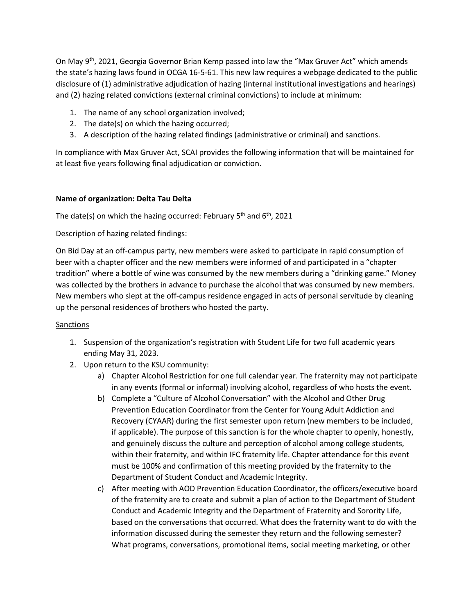On May 9th, 2021, Georgia Governor Brian Kemp passed into law the "Max Gruver Act" which amends the state's hazing laws found in OCGA 16-5-61. This new law requires a webpage dedicated to the public disclosure of (1) administrative adjudication of hazing (internal institutional investigations and hearings) and (2) hazing related convictions (external criminal convictions) to include at minimum:

- 1. The name of any school organization involved;
- 2. The date(s) on which the hazing occurred;
- 3. A description of the hazing related findings (administrative or criminal) and sanctions.

In compliance with Max Gruver Act, SCAI provides the following information that will be maintained for at least five years following final adjudication or conviction.

## **Name of organization: Delta Tau Delta**

The date(s) on which the hazing occurred: February  $5<sup>th</sup>$  and  $6<sup>th</sup>$ , 2021

Description of hazing related findings:

On Bid Day at an off-campus party, new members were asked to participate in rapid consumption of beer with a chapter officer and the new members were informed of and participated in a "chapter tradition" where a bottle of wine was consumed by the new members during a "drinking game." Money was collected by the brothers in advance to purchase the alcohol that was consumed by new members. New members who slept at the off-campus residence engaged in acts of personal servitude by cleaning up the personal residences of brothers who hosted the party.

## Sanctions

- 1. Suspension of the organization's registration with Student Life for two full academic years ending May 31, 2023.
- 2. Upon return to the KSU community:
	- a) Chapter Alcohol Restriction for one full calendar year. The fraternity may not participate in any events (formal or informal) involving alcohol, regardless of who hosts the event.
	- b) Complete a "Culture of Alcohol Conversation" with the Alcohol and Other Drug Prevention Education Coordinator from the Center for Young Adult Addiction and Recovery (CYAAR) during the first semester upon return (new members to be included, if applicable). The purpose of this sanction is for the whole chapter to openly, honestly, and genuinely discuss the culture and perception of alcohol among college students, within their fraternity, and within IFC fraternity life. Chapter attendance for this event must be 100% and confirmation of this meeting provided by the fraternity to the Department of Student Conduct and Academic Integrity.
	- c) After meeting with AOD Prevention Education Coordinator, the officers/executive board of the fraternity are to create and submit a plan of action to the Department of Student Conduct and Academic Integrity and the Department of Fraternity and Sorority Life, based on the conversations that occurred. What does the fraternity want to do with the information discussed during the semester they return and the following semester? What programs, conversations, promotional items, social meeting marketing, or other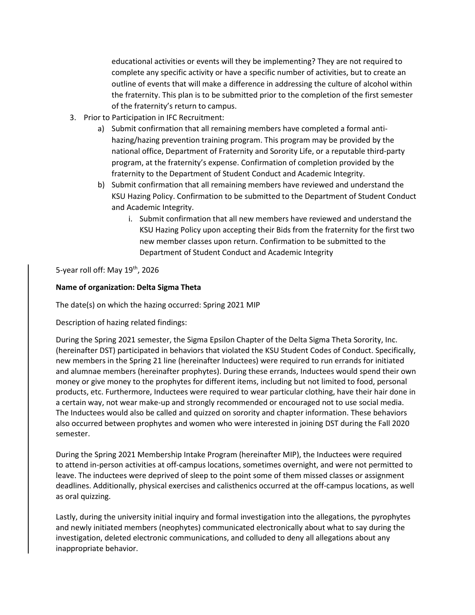educational activities or events will they be implementing? They are not required to complete any specific activity or have a specific number of activities, but to create an outline of events that will make a difference in addressing the culture of alcohol within the fraternity. This plan is to be submitted prior to the completion of the first semester of the fraternity's return to campus.

- 3. Prior to Participation in IFC Recruitment:
	- a) Submit confirmation that all remaining members have completed a formal antihazing/hazing prevention training program. This program may be provided by the national office, Department of Fraternity and Sorority Life, or a reputable third-party program, at the fraternity's expense. Confirmation of completion provided by the fraternity to the Department of Student Conduct and Academic Integrity.
	- b) Submit confirmation that all remaining members have reviewed and understand the KSU Hazing Policy. Confirmation to be submitted to the Department of Student Conduct and Academic Integrity.
		- i. Submit confirmation that all new members have reviewed and understand the KSU Hazing Policy upon accepting their Bids from the fraternity for the first two new member classes upon return. Confirmation to be submitted to the Department of Student Conduct and Academic Integrity

5-year roll off: May 19<sup>th</sup>, 2026

## **Name of organization: Delta Sigma Theta**

The date(s) on which the hazing occurred: Spring 2021 MIP

Description of hazing related findings:

During the Spring 2021 semester, the Sigma Epsilon Chapter of the Delta Sigma Theta Sorority, Inc. (hereinafter DST) participated in behaviors that violated the KSU Student Codes of Conduct. Specifically, new members in the Spring 21 line (hereinafter Inductees) were required to run errands for initiated and alumnae members (hereinafter prophytes). During these errands, Inductees would spend their own money or give money to the prophytes for different items, including but not limited to food, personal products, etc. Furthermore, Inductees were required to wear particular clothing, have their hair done in a certain way, not wear make-up and strongly recommended or encouraged not to use social media. The Inductees would also be called and quizzed on sorority and chapter information. These behaviors also occurred between prophytes and women who were interested in joining DST during the Fall 2020 semester.

During the Spring 2021 Membership Intake Program (hereinafter MIP), the Inductees were required to attend in-person activities at off-campus locations, sometimes overnight, and were not permitted to leave. The inductees were deprived of sleep to the point some of them missed classes or assignment deadlines. Additionally, physical exercises and calisthenics occurred at the off-campus locations, as well as oral quizzing.

Lastly, during the university initial inquiry and formal investigation into the allegations, the pyrophytes and newly initiated members (neophytes) communicated electronically about what to say during the investigation, deleted electronic communications, and colluded to deny all allegations about any inappropriate behavior.